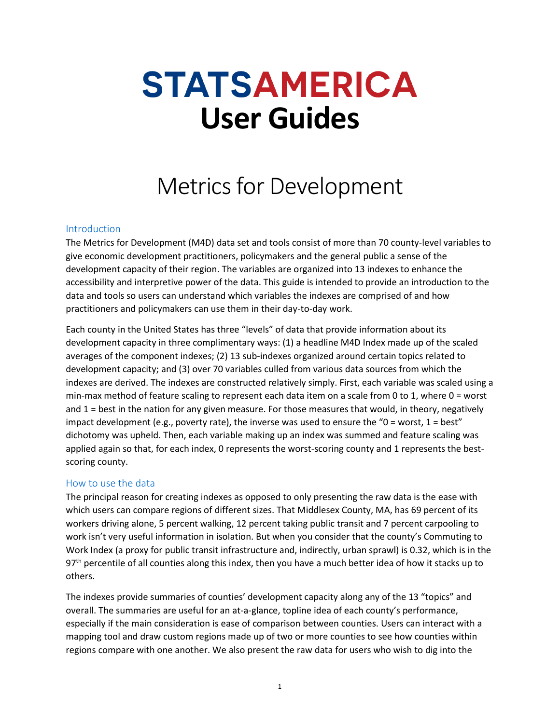# **STATSAMERICA User Guides**

# Metrics for Development

#### Introduction

The Metrics for Development (M4D) data set and tools consist of more than 70 county-level variables to give economic development practitioners, policymakers and the general public a sense of the development capacity of their region. The variables are organized into 13 indexes to enhance the accessibility and interpretive power of the data. This guide is intended to provide an introduction to the data and tools so users can understand which variables the indexes are comprised of and how practitioners and policymakers can use them in their day-to-day work.

Each county in the United States has three "levels" of data that provide information about its development capacity in three complimentary ways: (1) a headline M4D Index made up of the scaled averages of the component indexes; (2) 13 sub-indexes organized around certain topics related to development capacity; and (3) over 70 variables culled from various data sources from which the indexes are derived. The indexes are constructed relatively simply. First, each variable was scaled using a min-max method of feature scaling to represent each data item on a scale from 0 to 1, where 0 = worst and 1 = best in the nation for any given measure. For those measures that would, in theory, negatively impact development (e.g., poverty rate), the inverse was used to ensure the " $0 =$  worst,  $1 =$  best" dichotomy was upheld. Then, each variable making up an index was summed and feature scaling was applied again so that, for each index, 0 represents the worst-scoring county and 1 represents the bestscoring county.

#### How to use the data

The principal reason for creating indexes as opposed to only presenting the raw data is the ease with which users can compare regions of different sizes. That Middlesex County, MA, has 69 percent of its workers driving alone, 5 percent walking, 12 percent taking public transit and 7 percent carpooling to work isn't very useful information in isolation. But when you consider that the county's Commuting to Work Index (a proxy for public transit infrastructure and, indirectly, urban sprawl) is 0.32, which is in the 97<sup>th</sup> percentile of all counties along this index, then you have a much better idea of how it stacks up to others.

The indexes provide summaries of counties' development capacity along any of the 13 "topics" and overall. The summaries are useful for an at-a-glance, topline idea of each county's performance, especially if the main consideration is ease of comparison between counties. Users can interact with a mapping tool and draw custom regions made up of two or more counties to see how counties within regions compare with one another. We also present the raw data for users who wish to dig into the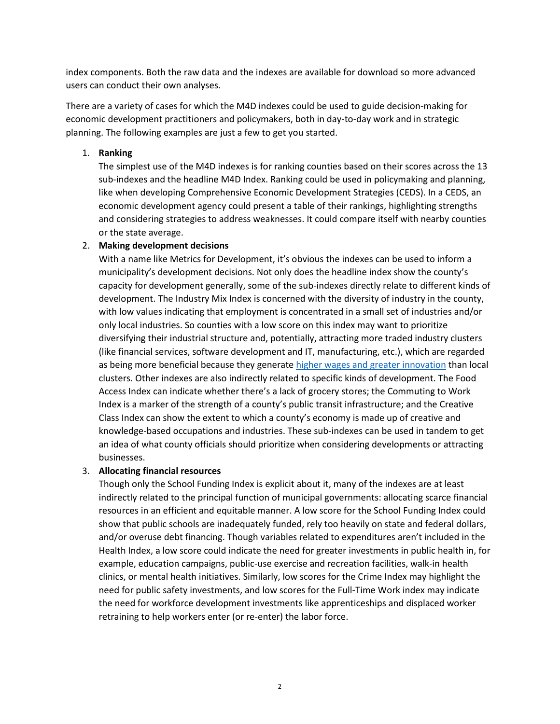index components. Both the raw data and the indexes are available for download so more advanced users can conduct their own analyses.

There are a variety of cases for which the M4D indexes could be used to guide decision-making for economic development practitioners and policymakers, both in day-to-day work and in strategic planning. The following examples are just a few to get you started.

#### 1. **Ranking**

The simplest use of the M4D indexes is for ranking counties based on their scores across the 13 sub-indexes and the headline M4D Index. Ranking could be used in policymaking and planning, like when developing Comprehensive Economic Development Strategies (CEDS). In a CEDS, an economic development agency could present a table of their rankings, highlighting strengths and considering strategies to address weaknesses. It could compare itself with nearby counties or the state average.

#### 2. **Making development decisions**

With a name like Metrics for Development, it's obvious the indexes can be used to inform a municipality's development decisions. Not only does the headline index show the county's capacity for development generally, some of the sub-indexes directly relate to different kinds of development. The Industry Mix Index is concerned with the diversity of industry in the county, with low values indicating that employment is concentrated in a small set of industries and/or only local industries. So counties with a low score on this index may want to prioritize diversifying their industrial structure and, potentially, attracting more traded industry clusters (like financial services, software development and IT, manufacturing, etc.), which are regarded as being more beneficial because they generate [higher wages and greater innovation](http://www.clustermapping.us/content/clusters-101) than local clusters. Other indexes are also indirectly related to specific kinds of development. The Food Access Index can indicate whether there's a lack of grocery stores; the Commuting to Work Index is a marker of the strength of a county's public transit infrastructure; and the Creative Class Index can show the extent to which a county's economy is made up of creative and knowledge-based occupations and industries. These sub-indexes can be used in tandem to get an idea of what county officials should prioritize when considering developments or attracting businesses.

#### 3. **Allocating financial resources**

Though only the School Funding Index is explicit about it, many of the indexes are at least indirectly related to the principal function of municipal governments: allocating scarce financial resources in an efficient and equitable manner. A low score for the School Funding Index could show that public schools are inadequately funded, rely too heavily on state and federal dollars, and/or overuse debt financing. Though variables related to expenditures aren't included in the Health Index, a low score could indicate the need for greater investments in public health in, for example, education campaigns, public-use exercise and recreation facilities, walk-in health clinics, or mental health initiatives. Similarly, low scores for the Crime Index may highlight the need for public safety investments, and low scores for the Full-Time Work index may indicate the need for workforce development investments like apprenticeships and displaced worker retraining to help workers enter (or re-enter) the labor force.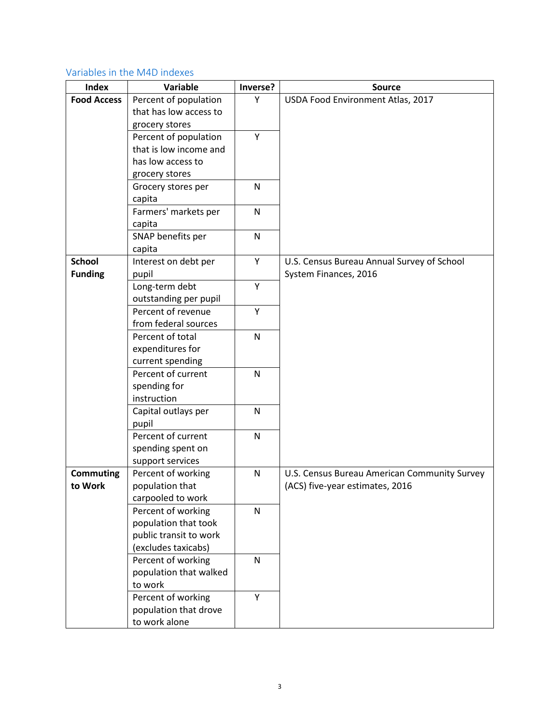## Variables in the M4D indexes

| <b>Index</b>       | Variable               | Inverse?     | <b>Source</b>                                |
|--------------------|------------------------|--------------|----------------------------------------------|
| <b>Food Access</b> | Percent of population  | Υ            | USDA Food Environment Atlas, 2017            |
|                    | that has low access to |              |                                              |
|                    | grocery stores         |              |                                              |
|                    | Percent of population  | Y            |                                              |
|                    | that is low income and |              |                                              |
|                    | has low access to      |              |                                              |
|                    | grocery stores         |              |                                              |
|                    | Grocery stores per     | N            |                                              |
|                    | capita                 |              |                                              |
|                    | Farmers' markets per   | $\mathsf{N}$ |                                              |
|                    | capita                 |              |                                              |
|                    | SNAP benefits per      | $\mathsf{N}$ |                                              |
|                    | capita                 |              |                                              |
| <b>School</b>      | Interest on debt per   | Υ            | U.S. Census Bureau Annual Survey of School   |
| <b>Funding</b>     | pupil                  |              | System Finances, 2016                        |
|                    | Long-term debt         | Y            |                                              |
|                    | outstanding per pupil  |              |                                              |
|                    | Percent of revenue     | Υ            |                                              |
|                    | from federal sources   |              |                                              |
|                    | Percent of total       | $\mathsf{N}$ |                                              |
|                    | expenditures for       |              |                                              |
|                    | current spending       |              |                                              |
|                    | Percent of current     | N            |                                              |
|                    | spending for           |              |                                              |
|                    | instruction            |              |                                              |
|                    | Capital outlays per    | $\mathsf{N}$ |                                              |
|                    | pupil                  |              |                                              |
|                    | Percent of current     | $\mathsf{N}$ |                                              |
|                    | spending spent on      |              |                                              |
|                    | support services       |              |                                              |
| <b>Commuting</b>   | Percent of working     | $\mathsf{N}$ | U.S. Census Bureau American Community Survey |
| to Work            | population that        |              | (ACS) five-year estimates, 2016              |
|                    | carpooled to work      |              |                                              |
|                    | Percent of working     | $\mathsf{N}$ |                                              |
|                    | population that took   |              |                                              |
|                    | public transit to work |              |                                              |
|                    | (excludes taxicabs)    |              |                                              |
|                    | Percent of working     | $\mathsf{N}$ |                                              |
|                    | population that walked |              |                                              |
|                    | to work                |              |                                              |
|                    | Percent of working     | Y            |                                              |
|                    | population that drove  |              |                                              |
|                    | to work alone          |              |                                              |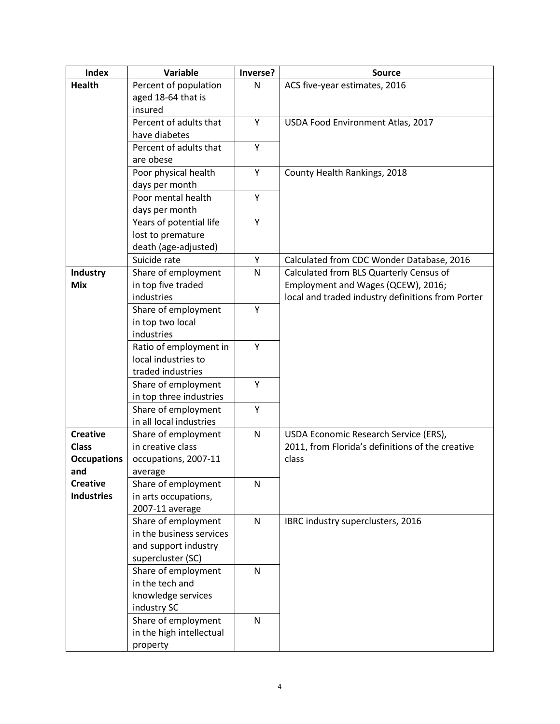| <b>Index</b>       | Variable                                       | Inverse? | <b>Source</b>                                     |
|--------------------|------------------------------------------------|----------|---------------------------------------------------|
| <b>Health</b>      | Percent of population                          | N        | ACS five-year estimates, 2016                     |
|                    | aged 18-64 that is                             |          |                                                   |
|                    | insured                                        |          |                                                   |
|                    | Percent of adults that                         | Υ        | USDA Food Environment Atlas, 2017                 |
|                    | have diabetes                                  |          |                                                   |
|                    | Percent of adults that                         | Y        |                                                   |
|                    | are obese                                      |          |                                                   |
|                    | Poor physical health                           | Υ        | County Health Rankings, 2018                      |
|                    | days per month                                 |          |                                                   |
|                    | Poor mental health                             | Y        |                                                   |
|                    | days per month                                 |          |                                                   |
|                    | Years of potential life                        | Υ        |                                                   |
|                    | lost to premature                              |          |                                                   |
|                    | death (age-adjusted)                           |          |                                                   |
|                    | Suicide rate                                   | Υ        | Calculated from CDC Wonder Database, 2016         |
| Industry           | Share of employment                            | N        | Calculated from BLS Quarterly Census of           |
| <b>Mix</b>         | in top five traded                             |          | Employment and Wages (QCEW), 2016;                |
|                    | industries                                     |          | local and traded industry definitions from Porter |
|                    | Share of employment                            | Y        |                                                   |
|                    | in top two local                               |          |                                                   |
|                    | industries                                     |          |                                                   |
|                    | Ratio of employment in                         | Y        |                                                   |
|                    | local industries to                            |          |                                                   |
|                    | traded industries                              | Y        |                                                   |
|                    | Share of employment                            |          |                                                   |
|                    | in top three industries                        | Υ        |                                                   |
|                    | Share of employment<br>in all local industries |          |                                                   |
| <b>Creative</b>    | Share of employment                            | N        | USDA Economic Research Service (ERS),             |
| <b>Class</b>       | in creative class                              |          | 2011, from Florida's definitions of the creative  |
| <b>Occupations</b> | occupations, 2007-11                           |          | class                                             |
| and                | average                                        |          |                                                   |
| <b>Creative</b>    | Share of employment                            | N        |                                                   |
| <b>Industries</b>  | in arts occupations,                           |          |                                                   |
|                    | 2007-11 average                                |          |                                                   |
|                    | Share of employment                            | N        | IBRC industry superclusters, 2016                 |
|                    | in the business services                       |          |                                                   |
|                    | and support industry                           |          |                                                   |
|                    | supercluster (SC)                              |          |                                                   |
|                    | Share of employment                            | N        |                                                   |
|                    | in the tech and                                |          |                                                   |
|                    | knowledge services                             |          |                                                   |
|                    | industry SC                                    |          |                                                   |
|                    | Share of employment                            | N        |                                                   |
|                    | in the high intellectual                       |          |                                                   |
|                    | property                                       |          |                                                   |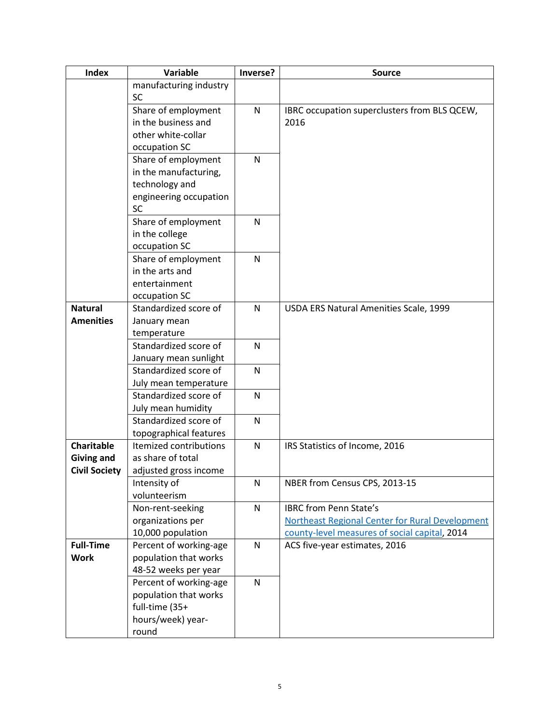| Index                | Variable                                       | Inverse? | <b>Source</b>                                          |
|----------------------|------------------------------------------------|----------|--------------------------------------------------------|
|                      | manufacturing industry                         |          |                                                        |
|                      | <b>SC</b>                                      |          |                                                        |
|                      | Share of employment                            | N        | IBRC occupation superclusters from BLS QCEW,           |
|                      | in the business and                            |          | 2016                                                   |
|                      | other white-collar                             |          |                                                        |
|                      | occupation SC                                  |          |                                                        |
|                      | Share of employment                            | N        |                                                        |
|                      | in the manufacturing,                          |          |                                                        |
|                      | technology and                                 |          |                                                        |
|                      | engineering occupation                         |          |                                                        |
|                      | <b>SC</b>                                      |          |                                                        |
|                      | Share of employment                            | N        |                                                        |
|                      | in the college                                 |          |                                                        |
|                      | occupation SC                                  |          |                                                        |
|                      | Share of employment                            | N        |                                                        |
|                      | in the arts and                                |          |                                                        |
|                      | entertainment                                  |          |                                                        |
|                      | occupation SC                                  |          |                                                        |
| <b>Natural</b>       | Standardized score of                          | N        | USDA ERS Natural Amenities Scale, 1999                 |
| <b>Amenities</b>     | January mean                                   |          |                                                        |
|                      | temperature                                    |          |                                                        |
|                      | Standardized score of                          | N        |                                                        |
|                      | January mean sunlight                          |          |                                                        |
|                      | Standardized score of                          | N        |                                                        |
|                      | July mean temperature                          |          |                                                        |
|                      | Standardized score of                          | N        |                                                        |
|                      | July mean humidity                             |          |                                                        |
|                      | Standardized score of                          | N        |                                                        |
|                      | topographical features                         |          |                                                        |
| <b>Charitable</b>    | Itemized contributions                         | N        | IRS Statistics of Income, 2016                         |
| Giving and           | as share of total                              |          |                                                        |
| <b>Civil Society</b> | adjusted gross income                          |          |                                                        |
|                      | Intensity of                                   | N        | NBER from Census CPS, 2013-15                          |
|                      | volunteerism                                   |          |                                                        |
|                      | Non-rent-seeking                               | N        | <b>IBRC from Penn State's</b>                          |
|                      | organizations per                              |          | <b>Northeast Regional Center for Rural Development</b> |
|                      | 10,000 population                              |          | county-level measures of social capital, 2014          |
| <b>Full-Time</b>     | Percent of working-age                         | N        | ACS five-year estimates, 2016                          |
| <b>Work</b>          | population that works                          |          |                                                        |
|                      | 48-52 weeks per year<br>Percent of working-age | N        |                                                        |
|                      | population that works                          |          |                                                        |
|                      | full-time (35+                                 |          |                                                        |
|                      | hours/week) year-                              |          |                                                        |
|                      | round                                          |          |                                                        |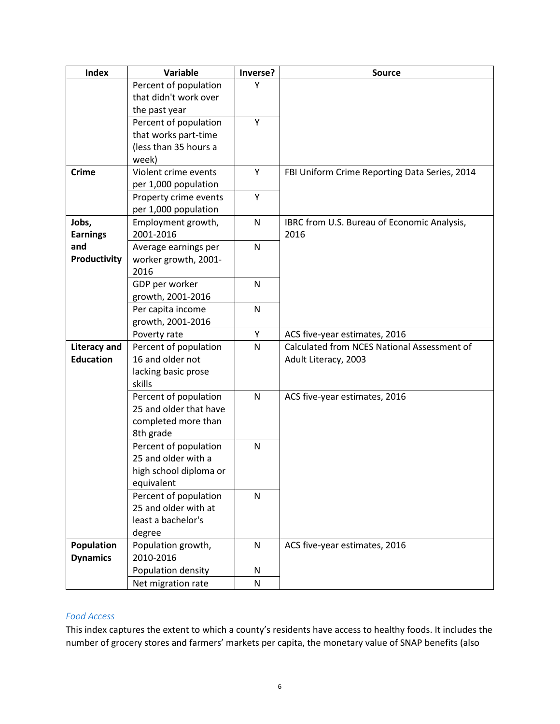| <b>Index</b>        | Variable               | Inverse?     | <b>Source</b>                                 |
|---------------------|------------------------|--------------|-----------------------------------------------|
|                     | Percent of population  | Y            |                                               |
|                     | that didn't work over  |              |                                               |
|                     | the past year          |              |                                               |
|                     | Percent of population  | Υ            |                                               |
|                     | that works part-time   |              |                                               |
|                     | (less than 35 hours a  |              |                                               |
|                     | week)                  |              |                                               |
| <b>Crime</b>        | Violent crime events   | Y            | FBI Uniform Crime Reporting Data Series, 2014 |
|                     | per 1,000 population   |              |                                               |
|                     | Property crime events  | Υ            |                                               |
|                     | per 1,000 population   |              |                                               |
| Jobs,               | Employment growth,     | ${\sf N}$    | IBRC from U.S. Bureau of Economic Analysis,   |
| <b>Earnings</b>     | 2001-2016              |              | 2016                                          |
| and                 | Average earnings per   | ${\sf N}$    |                                               |
| Productivity        | worker growth, 2001-   |              |                                               |
|                     | 2016                   |              |                                               |
|                     | GDP per worker         | $\mathsf{N}$ |                                               |
|                     | growth, 2001-2016      |              |                                               |
|                     | Per capita income      | ${\sf N}$    |                                               |
|                     | growth, 2001-2016      |              |                                               |
|                     | Poverty rate           | Υ            | ACS five-year estimates, 2016                 |
| <b>Literacy and</b> | Percent of population  | ${\sf N}$    | Calculated from NCES National Assessment of   |
| <b>Education</b>    | 16 and older not       |              | Adult Literacy, 2003                          |
|                     | lacking basic prose    |              |                                               |
|                     | skills                 |              |                                               |
|                     | Percent of population  | ${\sf N}$    | ACS five-year estimates, 2016                 |
|                     | 25 and older that have |              |                                               |
|                     | completed more than    |              |                                               |
|                     | 8th grade              |              |                                               |
|                     | Percent of population  | N            |                                               |
|                     | 25 and older with a    |              |                                               |
|                     | high school diploma or |              |                                               |
|                     | equivalent             |              |                                               |
|                     | Percent of population  | N            |                                               |
|                     | 25 and older with at   |              |                                               |
|                     | least a bachelor's     |              |                                               |
|                     | degree                 |              |                                               |
| Population          | Population growth,     | $\mathsf{N}$ | ACS five-year estimates, 2016                 |
| <b>Dynamics</b>     | 2010-2016              |              |                                               |
|                     | Population density     | N            |                                               |
|                     | Net migration rate     | N            |                                               |

### *Food Access*

This index captures the extent to which a county's residents have access to healthy foods. It includes the number of grocery stores and farmers' markets per capita, the monetary value of SNAP benefits (also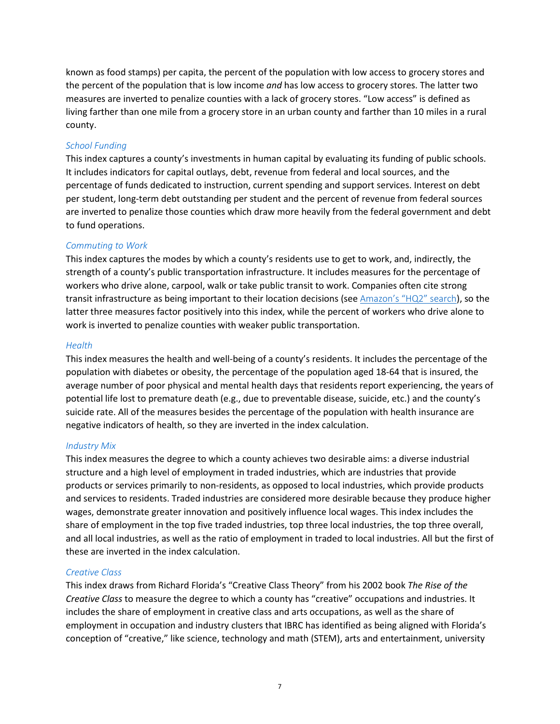known as food stamps) per capita, the percent of the population with low access to grocery stores and the percent of the population that is low income *and* has low access to grocery stores. The latter two measures are inverted to penalize counties with a lack of grocery stores. "Low access" is defined as living farther than one mile from a grocery store in an urban county and farther than 10 miles in a rural county.

#### *School Funding*

This index captures a county's investments in human capital by evaluating its funding of public schools. It includes indicators for capital outlays, debt, revenue from federal and local sources, and the percentage of funds dedicated to instruction, current spending and support services. Interest on debt per student, long-term debt outstanding per student and the percent of revenue from federal sources are inverted to penalize those counties which draw more heavily from the federal government and debt to fund operations.

#### *Commuting to Work*

This index captures the modes by which a county's residents use to get to work, and, indirectly, the strength of a county's public transportation infrastructure. It includes measures for the percentage of workers who drive alone, carpool, walk or take public transit to work. Companies often cite strong transit infrastructure as being important to their location decisions (see [Amazon's "HQ2" search](https://www.citylab.com/transportation/2018/11/amazon-hq2-chose-transit-new-york-dc-subway-metro-mta/575932/)), so the latter three measures factor positively into this index, while the percent of workers who drive alone to work is inverted to penalize counties with weaker public transportation.

#### *Health*

This index measures the health and well-being of a county's residents. It includes the percentage of the population with diabetes or obesity, the percentage of the population aged 18-64 that is insured, the average number of poor physical and mental health days that residents report experiencing, the years of potential life lost to premature death (e.g., due to preventable disease, suicide, etc.) and the county's suicide rate. All of the measures besides the percentage of the population with health insurance are negative indicators of health, so they are inverted in the index calculation.

#### *Industry Mix*

This index measures the degree to which a county achieves two desirable aims: a diverse industrial structure and a high level of employment in traded industries, which are industries that provide products or services primarily to non-residents, as opposed to local industries, which provide products and services to residents. Traded industries are considered more desirable because they produce higher wages, demonstrate greater innovation and positively influence local wages. This index includes the share of employment in the top five traded industries, top three local industries, the top three overall, and all local industries, as well as the ratio of employment in traded to local industries. All but the first of these are inverted in the index calculation.

#### *Creative Class*

This index draws from Richard Florida's "Creative Class Theory" from his 2002 book *The Rise of the Creative Class* to measure the degree to which a county has "creative" occupations and industries. It includes the share of employment in creative class and arts occupations, as well as the share of employment in occupation and industry clusters that IBRC has identified as being aligned with Florida's conception of "creative," like science, technology and math (STEM), arts and entertainment, university